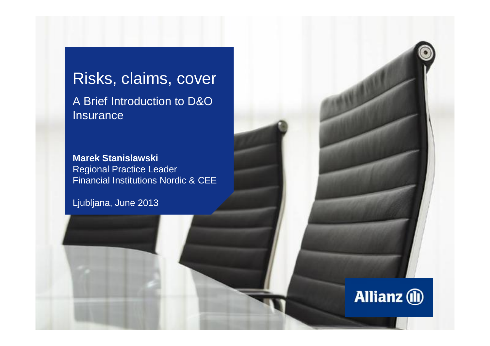# Risks, claims, cover A Brief Introduction to D&O **Insurance**

**Marek Stanislawski** Regional Practice Leader Financial Institutions Nordic & CEE

**Allianz** (ii)

Ljubljana, June 2013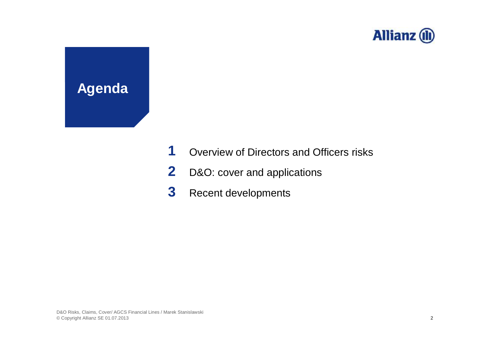

# **Agenda**

- **1** Overview of Directors and Officers risks
- **2** D&O: cover and applications
- **3** Recent developments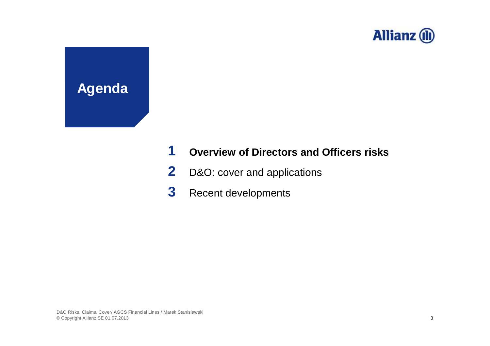

**Agenda**

### **1 Overview of Directors and Officers risks**

- **2** D&O: cover and applications
- **3** Recent developments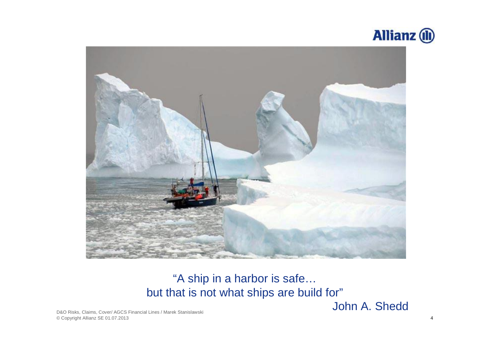



### "A ship in a harbor is safe… but that is not what ships are build for"

John A. Shedd

D&O Risks, Claims, Cover/ AGCS Financial Lines / Marek Stanislawski © Copyright Allianz SE 01.07.2013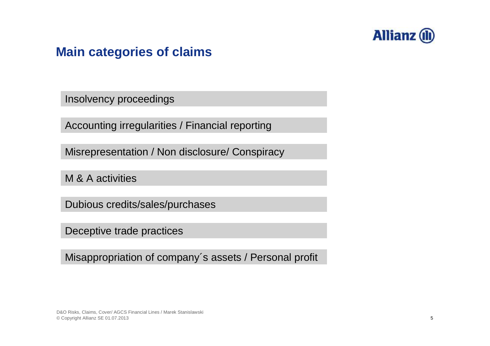

### **Main categories of claims**

Insolvency proceedings

Accounting irregularities / Financial reporting

Misrepresentation / Non disclosure/ Conspiracy

M & A activities

Dubious credits/sales/purchases

Deceptive trade practices

Misappropriation of company´s assets / Personal profit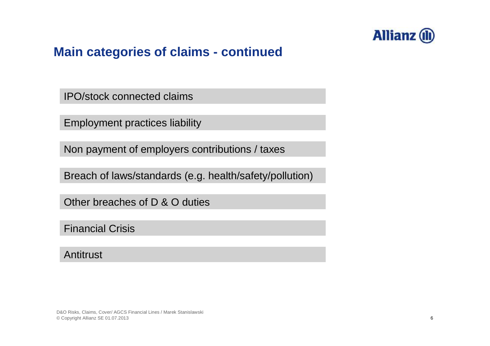

### **Main categories of claims - continued**

IPO/stock connected claims

Employment practices liability

Non payment of employers contributions / taxes

Breach of laws/standards (e.g. health/safety/pollution)

Other breaches of D & O duties

Financial Crisis

**Antitrust**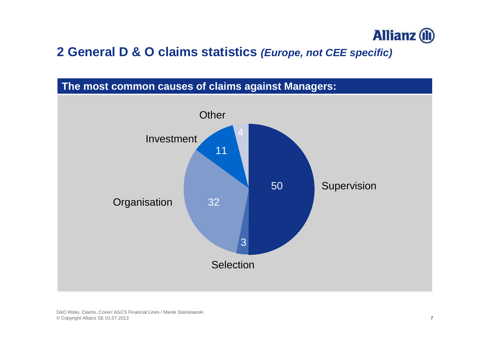

### **2 General D & O claims statistics** *(Europe, not CEE specific)*

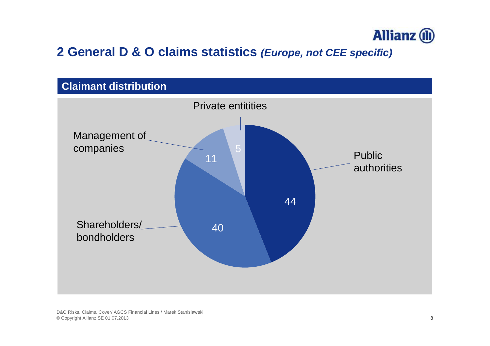

### **2 General D & O claims statistics** *(Europe, not CEE specific)*

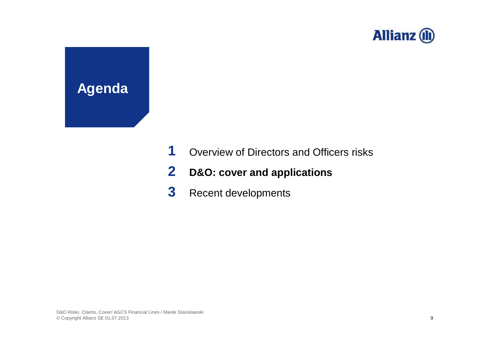

# **Agenda**

- **1** Overview of Directors and Officers risks
- **2 D&O: cover and applications**
- **3** Recent developments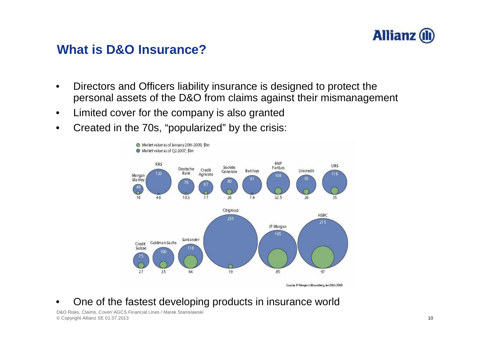

### **What is D&O Insurance?**

- Directors and Officers liability insurance is designed to protect the personal assets of the D&O from claims against their mismanagement
- Limited cover for the company is also granted
- Created in the 70s, "popularized" by the crisis:



Source: JP Morgan / Bloomberg, Jan 2005 2009

• One of the fastest developing products in insurance world

D&O Risks, Claims, Cover/ AGCS Financial Lines / Marek Stanislawski © Copyright Allianz SE 01.07.2013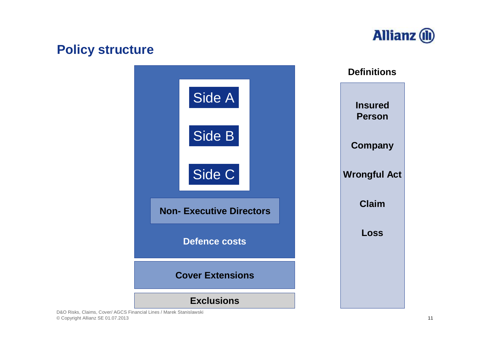# **Allianz** (1)

### **Policy structure**



D&O Risks, Claims, Cover/ AGCS Financial Lines / Marek Stanislawski © Copyright Allianz SE 01.07.2013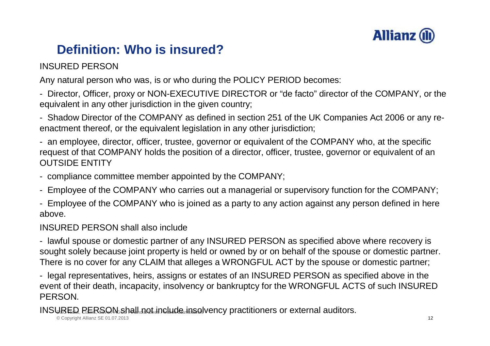

## **Definition: Who is insured?**

### INSURED PERSON

Any natural person who was, is or who during the POLICY PERIOD becomes:

- Director, Officer, proxy or NON-EXECUTIVE DIRECTOR or "de facto" director of the COMPANY, or the equivalent in any other jurisdiction in the given country;

- Shadow Director of the COMPANY as defined in section 251 of the UK Companies Act 2006 or any reenactment thereof, or the equivalent legislation in any other jurisdiction;

- an employee, director, officer, trustee, governor or equivalent of the COMPANY who, at the specific request of that COMPANY holds the position of a director, officer, trustee, governor or equivalent of an OUTSIDE ENTITY

- compliance committee member appointed by the COMPANY;
- Employee of the COMPANY who carries out a managerial or supervisory function for the COMPANY;
- Employee of the COMPANY who is joined as a party to any action against any person defined in here above.

#### INSURED PERSON shall also include

- lawful spouse or domestic partner of any INSURED PERSON as specified above where recovery is sought solely because joint property is held or owned by or on behalf of the spouse or domestic partner. There is no cover for any CLAIM that alleges a WRONGFUL ACT by the spouse or domestic partner;

- legal representatives, heirs, assigns or estates of an INSURED PERSON as specified above in the event of their death, incapacity, insolvency or bankruptcy for the WRONGFUL ACTS of such INSURED PERSON.

INSURED PERSON shall not include insolvency practitioners or external auditors.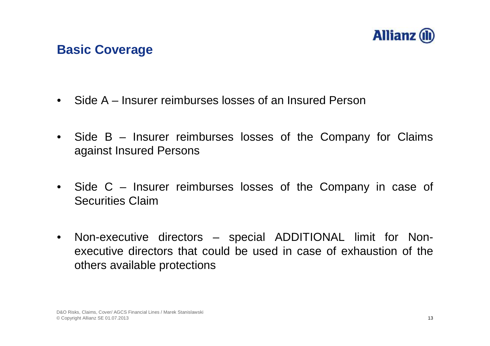

### **Basic Coverage**

- Side A Insurer reimburses losses of an Insured Person
- Side B Insurer reimburses losses of the Company for Claims against Insured Persons
- Side C Insurer reimburses losses of the Company in case of Securities Claim
- Non-executive directors special ADDITIONAL limit for Nonexecutive directors that could be used in case of exhaustion of the others available protections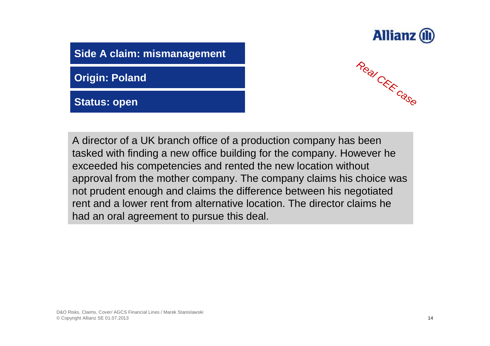

**Side A claim: mismanagement**

**Origin: Poland**

**Status: open**



A director of a UK branch office of a production company has been tasked with finding a new office building for the company. However he exceeded his competencies and rented the new location without approval from the mother company. The company claims his choice was not prudent enough and claims the difference between his negotiated rent and a lower rent from alternative location. The director claims he had an oral agreement to pursue this deal.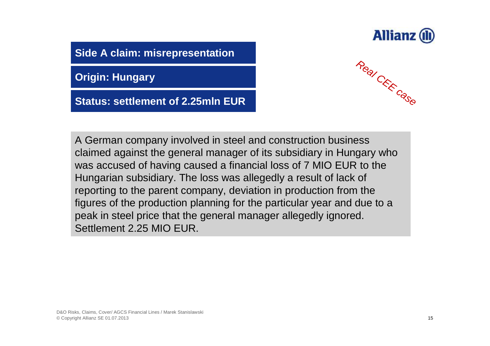

**Side A claim: misrepresentation**

**Origin: Hungary**

**Status: settlement of 2.25mln EUR**



A German company involved in steel and construction business claimed against the general manager of its subsidiary in Hungary who was accused of having caused a financial loss of 7 MIO EUR to the Hungarian subsidiary. The loss was allegedly a result of lack of reporting to the parent company, deviation in production from the figures of the production planning for the particular year and due to a peak in steel price that the general manager allegedly ignored. Settlement 2.25 MIO EUR.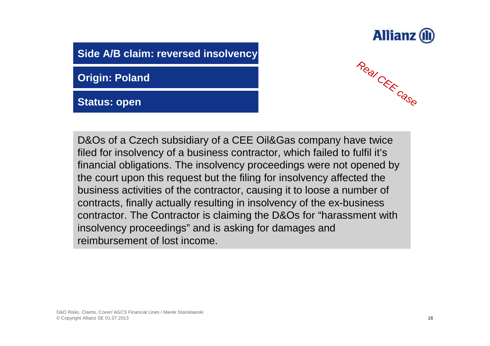

**Side A/B claim: reversed insolvency**

**Origin: Poland**

**Status: open**



D&Os of a Czech subsidiary of a CEE Oil&Gas company have twice filed for insolvency of a business contractor, which failed to fulfil it's financial obligations. The insolvency proceedings were not opened by the court upon this request but the filing for insolvency affected the business activities of the contractor, causing it to loose a number of contracts, finally actually resulting in insolvency of the ex-business contractor. The Contractor is claiming the D&Os for "harassment with insolvency proceedings" and is asking for damages and reimbursement of lost income.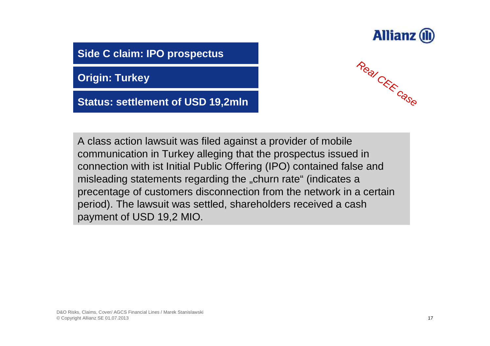

**Side C claim: IPO prospectus**

**Origin: Turkey**

**Status: settlement of USD 19,2mln**



A class action lawsuit was filed against a provider of mobile communication in Turkey alleging that the prospectus issued in connection with ist Initial Public Offering (IPO) contained false and misleading statements regarding the "churn rate" (indicates a precentage of customers disconnection from the network in a certain period). The lawsuit was settled, shareholders received a cash payment of USD 19,2 MIO.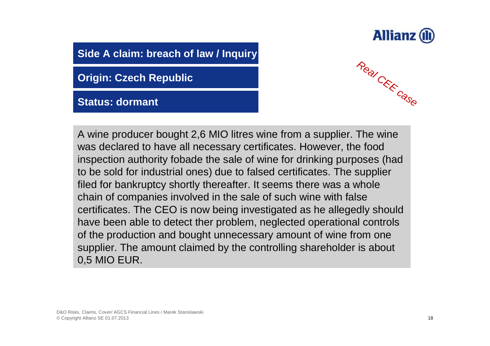

**Side A claim: breach of law / Inquiry**

**Origin: Czech Republic**

**Status: dormant**



A wine producer bought 2,6 MIO litres wine from a supplier. The wine was declared to have all necessary certificates. However, the food inspection authority fobade the sale of wine for drinking purposes (had to be sold for industrial ones) due to falsed certificates. The supplier filed for bankruptcy shortly thereafter. It seems there was a whole chain of companies involved in the sale of such wine with false certificates. The CEO is now being investigated as he allegedly should have been able to detect ther problem, neglected operational controls of the production and bought unnecessary amount of wine from one supplier. The amount claimed by the controlling shareholder is about 0,5 MIO EUR.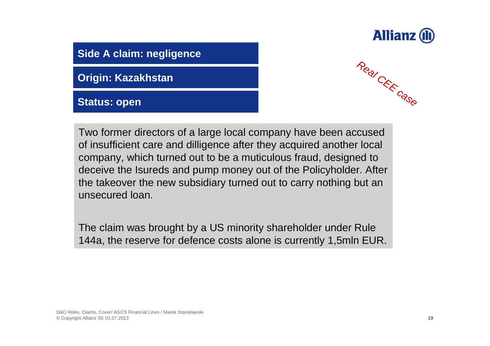

### **Side A claim: negligence**

**Origin: Kazakhstan**

**Status: open**



Two former directors of a large local company have been accused of insufficient care and dilligence after they acquired another local company, which turned out to be a muticulous fraud, designed to deceive the Isureds and pump money out of the Policyholder. After the takeover the new subsidiary turned out to carry nothing but an unsecured loan.

The claim was brought by a US minority shareholder under Rule 144a, the reserve for defence costs alone is currently 1,5mln EUR.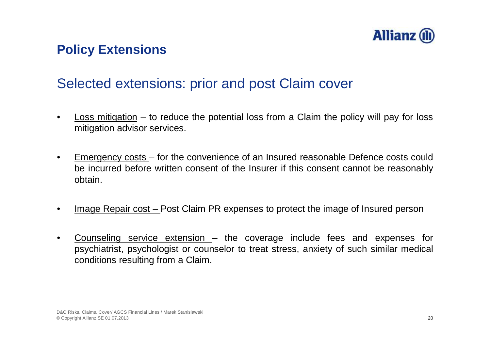

### **Policy Extensions**

### Selected extensions: prior and post Claim cover

- Loss mitigation  $-$  to reduce the potential loss from a Claim the policy will pay for loss mitigation advisor services.
- Emergency costs for the convenience of an Insured reasonable Defence costs could be incurred before written consent of the Insurer if this consent cannot be reasonably obtain.
- Image Repair cost Post Claim PR expenses to protect the image of Insured person
- Counseling service extension  $-$  the coverage include fees and expenses for psychiatrist, psychologist or counselor to treat stress, anxiety of such similar medical conditions resulting from a Claim.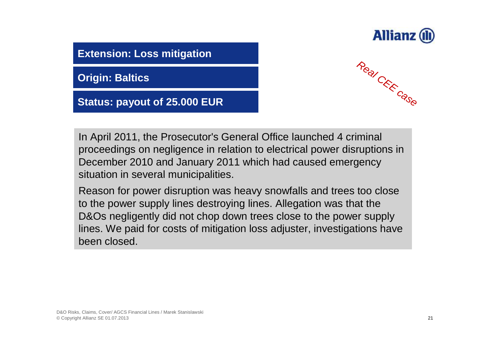

**Extension: Loss mitigation**

**Origin: Baltics**

**Status: payout of 25.000 EUR**



In April 2011, the Prosecutor's General Office launched 4 criminal proceedings on negligence in relation to electrical power disruptions in December 2010 and January 2011 which had caused emergency situation in several municipalities.

Reason for power disruption was heavy snowfalls and trees too close to the power supply lines destroying lines. Allegation was that the D&Os negligently did not chop down trees close to the power supply lines. We paid for costs of mitigation loss adjuster, investigations have been closed.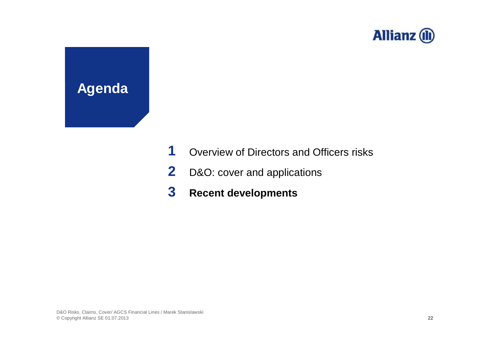

# **Agenda**

- **1** Overview of Directors and Officers risks
- **2** D&O: cover and applications
- **3 Recent developments**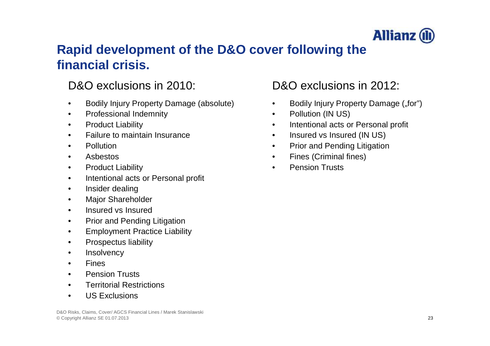

### **Rapid development of the D&O cover following the financial crisis.**

### D&O exclusions in 2010: D&O exclusions in 2012:

- Bodily Injury Property Damage (absolute)
- Professional Indemnity
- Product Liability
- Failure to maintain Insurance
- Pollution
- Asbestos
- Product Liability
- Intentional acts or Personal profit
- Insider dealing
- Major Shareholder
- Insured vs Insured
- Prior and Pending Litigation
- Employment Practice Liability
- Prospectus liability
- **Insolvency**
- **Fines**
- Pension Trusts
- Territorial Restrictions
- US Exclusions

- Bodily Injury Property Damage ("for")
- Pollution (IN US)
- Intentional acts or Personal profit
- Insured vs Insured (IN US)
- Prior and Pending Litigation
- Fines (Criminal fines)
- **Pension Trusts**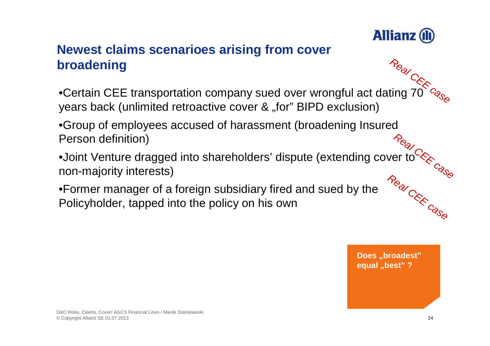

### **Newest claims scenarioes arising from cover broadening**

- •Certain CEE transportation company sued over wrongful act dating 70 years back (unlimited retroactive cover & "for" BIPD exclusion) *Real CEE case*
- •Group of employees accused of harassment (broadening Insured Person definition)
- •Joint Venture dragged into shareholders' dispute (extending cover to non-majority interests) Real C<sub>RK</sub><br>er to CRK<br>Case *Real CEE case*
- •Former manager of a foreign subsidiary fired and sued by the Policyholder, tapped into the policy on his own

**Does** ..broadest" **equal** "best" ?